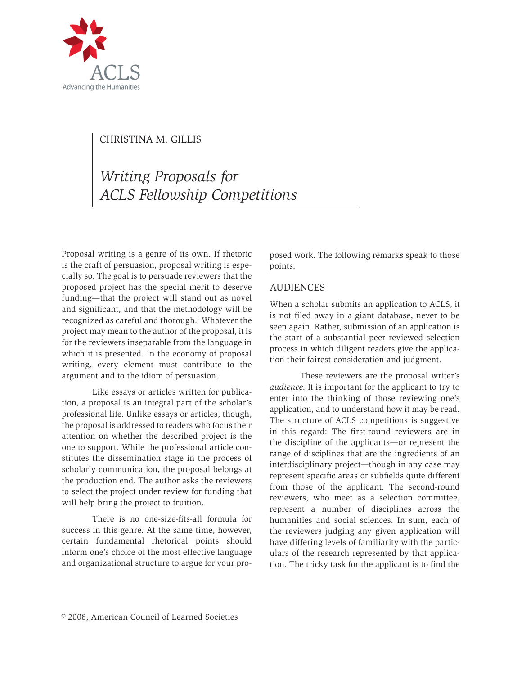

# Christina M. Gillis

*Writing Proposals for ACLS Fellowship Competitions*

Proposal writing is a genre of its own. If rhetoric is the craft of persuasion, proposal writing is especially so. The goal is to persuade reviewers that the proposed project has the special merit to deserve funding—that the project will stand out as novel and significant, and that the methodology will be recognized as careful and thorough.<sup>1</sup> Whatever the project may mean to the author of the proposal, it is for the reviewers inseparable from the language in which it is presented. In the economy of proposal writing, every element must contribute to the argument and to the idiom of persuasion.

Like essays or articles written for publication, a proposal is an integral part of the scholar's professional life. Unlike essays or articles, though, the proposal is addressed to readers who focus their attention on whether the described project is the one to support. While the professional article constitutes the dissemination stage in the process of scholarly communication, the proposal belongs at the production end. The author asks the reviewers to select the project under review for funding that will help bring the project to fruition.

There is no one-size-fits-all formula for success in this genre. At the same time, however, certain fundamental rhetorical points should inform one's choice of the most effective language and organizational structure to argue for your proposed work. The following remarks speak to those points.

#### **AUDIENCES**

When a scholar submits an application to ACLS, it is not filed away in a giant database, never to be seen again. Rather, submission of an application is the start of a substantial peer reviewed selection process in which diligent readers give the application their fairest consideration and judgment.

These reviewers are the proposal writer's *audience*. It is important for the applicant to try to enter into the thinking of those reviewing one's application, and to understand how it may be read. The structure of ACLS competitions is suggestive in this regard: The first-round reviewers are in the discipline of the applicants—or represent the range of disciplines that are the ingredients of an interdisciplinary project—though in any case may represent specific areas or subfields quite different from those of the applicant. The second-round reviewers, who meet as a selection committee, represent a number of disciplines across the humanities and social sciences. In sum, each of the reviewers judging any given application will have differing levels of familiarity with the particulars of the research represented by that application. The tricky task for the applicant is to find the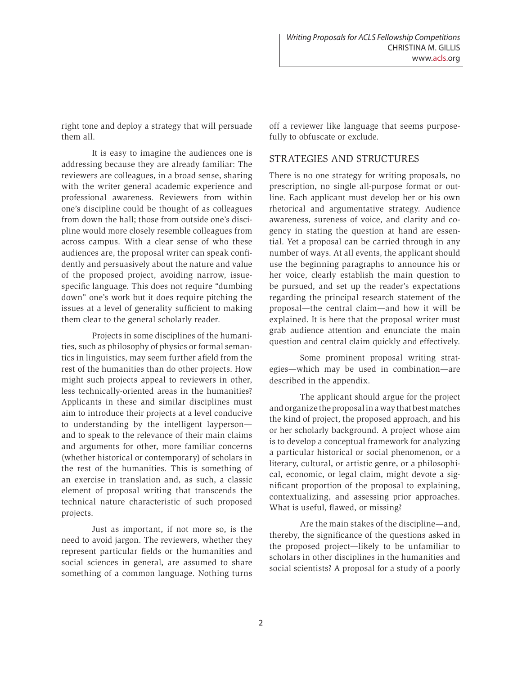right tone and deploy a strategy that will persuade them all.

It is easy to imagine the audiences one is addressing because they are already familiar: The reviewers are colleagues, in a broad sense, sharing with the writer general academic experience and professional awareness. Reviewers from within one's discipline could be thought of as colleagues from down the hall; those from outside one's discipline would more closely resemble colleagues from across campus. With a clear sense of who these audiences are, the proposal writer can speak confidently and persuasively about the nature and value of the proposed project, avoiding narrow, issuespecific language. This does not require "dumbing down" one's work but it does require pitching the issues at a level of generality sufficient to making them clear to the general scholarly reader.

Projects in some disciplines of the humanities, such as philosophy of physics or formal semantics in linguistics, may seem further afield from the rest of the humanities than do other projects. How might such projects appeal to reviewers in other, less technically-oriented areas in the humanities? Applicants in these and similar disciplines must aim to introduce their projects at a level conducive to understanding by the intelligent layperson and to speak to the relevance of their main claims and arguments for other, more familiar concerns (whether historical or contemporary) of scholars in the rest of the humanities. This is something of an exercise in translation and, as such, a classic element of proposal writing that transcends the technical nature characteristic of such proposed projects.

Just as important, if not more so, is the need to avoid jargon. The reviewers, whether they represent particular fields or the humanities and social sciences in general, are assumed to share something of a common language. Nothing turns off a reviewer like language that seems purposefully to obfuscate or exclude.

# Strategies and Structures

There is no one strategy for writing proposals, no prescription, no single all-purpose format or outline. Each applicant must develop her or his own rhetorical and argumentative strategy. Audience awareness, sureness of voice, and clarity and cogency in stating the question at hand are essential. Yet a proposal can be carried through in any number of ways. At all events, the applicant should use the beginning paragraphs to announce his or her voice, clearly establish the main question to be pursued, and set up the reader's expectations regarding the principal research statement of the proposal—the central claim—and how it will be explained. It is here that the proposal writer must grab audience attention and enunciate the main question and central claim quickly and effectively.

Some prominent proposal writing strategies—which may be used in combination—are described in the appendix.

The applicant should argue for the project and organize the proposal in a way that best matches the kind of project, the proposed approach, and his or her scholarly background. A project whose aim is to develop a conceptual framework for analyzing a particular historical or social phenomenon, or a literary, cultural, or artistic genre, or a philosophical, economic, or legal claim, might devote a significant proportion of the proposal to explaining, contextualizing, and assessing prior approaches. What is useful, flawed, or missing?

Are the main stakes of the discipline—and, thereby, the significance of the questions asked in the proposed project—likely to be unfamiliar to scholars in other disciplines in the humanities and social scientists? A proposal for a study of a poorly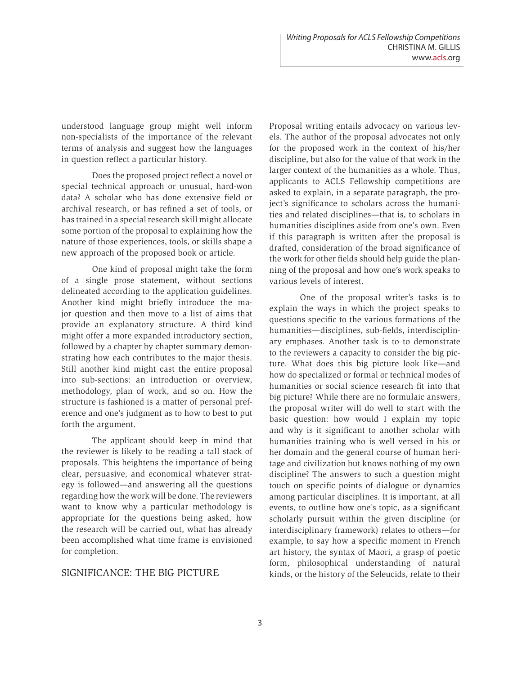understood language group might well inform non-specialists of the importance of the relevant terms of analysis and suggest how the languages in question reflect a particular history.

Does the proposed project reflect a novel or special technical approach or unusual, hard-won data? A scholar who has done extensive field or archival research, or has refined a set of tools, or has trained in a special research skill might allocate some portion of the proposal to explaining how the nature of those experiences, tools, or skills shape a new approach of the proposed book or article.

One kind of proposal might take the form of a single prose statement, without sections delineated according to the application guidelines. Another kind might briefly introduce the major question and then move to a list of aims that provide an explanatory structure. A third kind might offer a more expanded introductory section, followed by a chapter by chapter summary demonstrating how each contributes to the major thesis. Still another kind might cast the entire proposal into sub-sections: an introduction or overview, methodology, plan of work, and so on. How the structure is fashioned is a matter of personal preference and one's judgment as to how to best to put forth the argument.

The applicant should keep in mind that the reviewer is likely to be reading a tall stack of proposals. This heightens the importance of being clear, persuasive, and economical whatever strategy is followed—and answering all the questions regarding how the work will be done. The reviewers want to know why a particular methodology is appropriate for the questions being asked, how the research will be carried out, what has already been accomplished what time frame is envisioned for completion.

# SIGNIFICANCE: THE BIG PICTURE

Proposal writing entails advocacy on various levels. The author of the proposal advocates not only for the proposed work in the context of his/her discipline, but also for the value of that work in the larger context of the humanities as a whole. Thus, applicants to ACLS Fellowship competitions are asked to explain, in a separate paragraph, the project's significance to scholars across the humanities and related disciplines—that is, to scholars in humanities disciplines aside from one's own. Even if this paragraph is written after the proposal is drafted, consideration of the broad significance of the work for other fields should help guide the planning of the proposal and how one's work speaks to various levels of interest.

One of the proposal writer's tasks is to explain the ways in which the project speaks to questions specific to the various formations of the humanities—disciplines, sub-fields, interdisciplinary emphases. Another task is to to demonstrate to the reviewers a capacity to consider the big picture. What does this big picture look like—and how do specialized or formal or technical modes of humanities or social science research fit into that big picture? While there are no formulaic answers, the proposal writer will do well to start with the basic question: how would I explain my topic and why is it significant to another scholar with humanities training who is well versed in his or her domain and the general course of human heritage and civilization but knows nothing of my own discipline? The answers to such a question might touch on specific points of dialogue or dynamics among particular disciplines. It is important, at all events, to outline how one's topic, as a significant scholarly pursuit within the given discipline (or interdisciplinary framework) relates to others—for example, to say how a specific moment in French art history, the syntax of Maori, a grasp of poetic form, philosophical understanding of natural kinds, or the history of the Seleucids, relate to their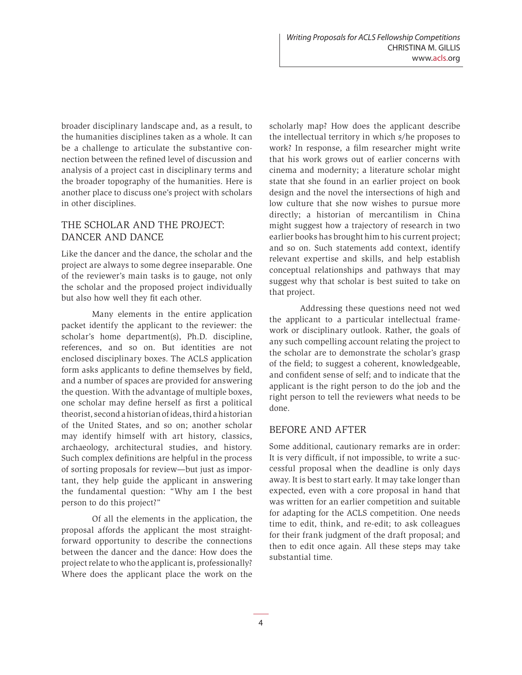broader disciplinary landscape and, as a result, to the humanities disciplines taken as a whole. It can be a challenge to articulate the substantive connection between the refined level of discussion and analysis of a project cast in disciplinary terms and the broader topography of the humanities. Here is another place to discuss one's project with scholars in other disciplines.

# THE SCHOLAR AND THE PROJECT: DANCER AND DANCE

Like the dancer and the dance, the scholar and the project are always to some degree inseparable. One of the reviewer's main tasks is to gauge, not only the scholar and the proposed project individually but also how well they fit each other.

Many elements in the entire application packet identify the applicant to the reviewer: the scholar's home department(s), Ph.D. discipline, references, and so on. But identities are not enclosed disciplinary boxes. The ACLS application form asks applicants to define themselves by field, and a number of spaces are provided for answering the question. With the advantage of multiple boxes, one scholar may define herself as first a political theorist, second a historian of ideas, third a historian of the United States, and so on; another scholar may identify himself with art history, classics, archaeology, architectural studies, and history. Such complex definitions are helpful in the process of sorting proposals for review—but just as important, they help guide the applicant in answering the fundamental question: "Why am I the best person to do this project?"

Of all the elements in the application, the proposal affords the applicant the most straightforward opportunity to describe the connections between the dancer and the dance: How does the project relate to who the applicant is, professionally? Where does the applicant place the work on the scholarly map? How does the applicant describe the intellectual territory in which s/he proposes to work? In response, a film researcher might write that his work grows out of earlier concerns with cinema and modernity; a literature scholar might state that she found in an earlier project on book design and the novel the intersections of high and low culture that she now wishes to pursue more directly; a historian of mercantilism in China might suggest how a trajectory of research in two earlier books has brought him to his current project; and so on. Such statements add context, identify relevant expertise and skills, and help establish conceptual relationships and pathways that may suggest why that scholar is best suited to take on that project.

Addressing these questions need not wed the applicant to a particular intellectual framework or disciplinary outlook. Rather, the goals of any such compelling account relating the project to the scholar are to demonstrate the scholar's grasp of the field; to suggest a coherent, knowledgeable, and confident sense of self; and to indicate that the applicant is the right person to do the job and the right person to tell the reviewers what needs to be done.

#### BEFORE AND AFTER

Some additional, cautionary remarks are in order: It is very difficult, if not impossible, to write a successful proposal when the deadline is only days away. It is best to start early. It may take longer than expected, even with a core proposal in hand that was written for an earlier competition and suitable for adapting for the ACLS competition. One needs time to edit, think, and re-edit; to ask colleagues for their frank judgment of the draft proposal; and then to edit once again. All these steps may take substantial time.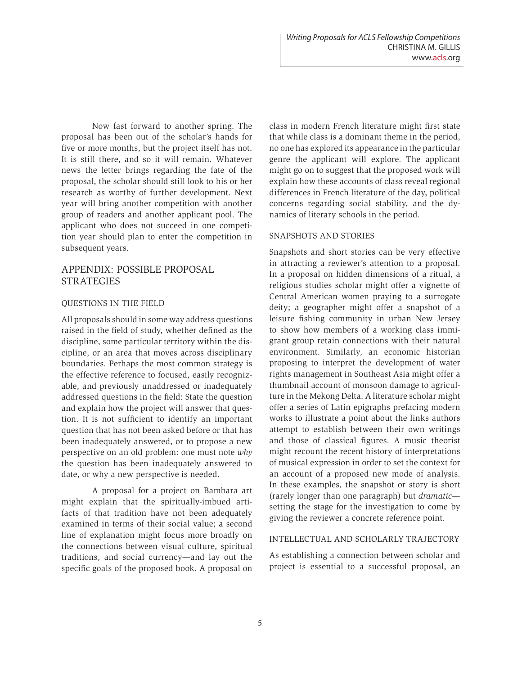Now fast forward to another spring. The proposal has been out of the scholar's hands for five or more months, but the project itself has not. It is still there, and so it will remain. Whatever news the letter brings regarding the fate of the proposal, the scholar should still look to his or her research as worthy of further development. Next year will bring another competition with another group of readers and another applicant pool. The applicant who does not succeed in one competition year should plan to enter the competition in subsequent years.

# APPENDIX: POSSIBLE Proposal **STRATEGIES**

#### Questions in the Field

All proposals should in some way address questions raised in the field of study, whether defined as the discipline, some particular territory within the discipline, or an area that moves across disciplinary boundaries. Perhaps the most common strategy is the effective reference to focused, easily recognizable, and previously unaddressed or inadequately addressed questions in the field: State the question and explain how the project will answer that question. It is not sufficient to identify an important question that has not been asked before or that has been inadequately answered, or to propose a new perspective on an old problem: one must note *why* the question has been inadequately answered to date, or why a new perspective is needed.

A proposal for a project on Bambara art might explain that the spiritually-imbued artifacts of that tradition have not been adequately examined in terms of their social value; a second line of explanation might focus more broadly on the connections between visual culture, spiritual traditions, and social currency—and lay out the specific goals of the proposed book. A proposal on class in modern French literature might first state that while class is a dominant theme in the period, no one has explored its appearance in the particular genre the applicant will explore. The applicant might go on to suggest that the proposed work will explain how these accounts of class reveal regional differences in French literature of the day, political concerns regarding social stability, and the dynamics of literary schools in the period.

#### Snapshots and Stories

Snapshots and short stories can be very effective in attracting a reviewer's attention to a proposal. In a proposal on hidden dimensions of a ritual, a religious studies scholar might offer a vignette of Central American women praying to a surrogate deity; a geographer might offer a snapshot of a leisure fishing community in urban New Jersey to show how members of a working class immigrant group retain connections with their natural environment. Similarly, an economic historian proposing to interpret the development of water rights management in Southeast Asia might offer a thumbnail account of monsoon damage to agriculture in the Mekong Delta. A literature scholar might offer a series of Latin epigraphs prefacing modern works to illustrate a point about the links authors attempt to establish between their own writings and those of classical figures. A music theorist might recount the recent history of interpretations of musical expression in order to set the context for an account of a proposed new mode of analysis. In these examples, the snapshot or story is short (rarely longer than one paragraph) but *dramatic* setting the stage for the investigation to come by giving the reviewer a concrete reference point.

### Intellectual and Scholarly Trajectory

As establishing a connection between scholar and project is essential to a successful proposal, an